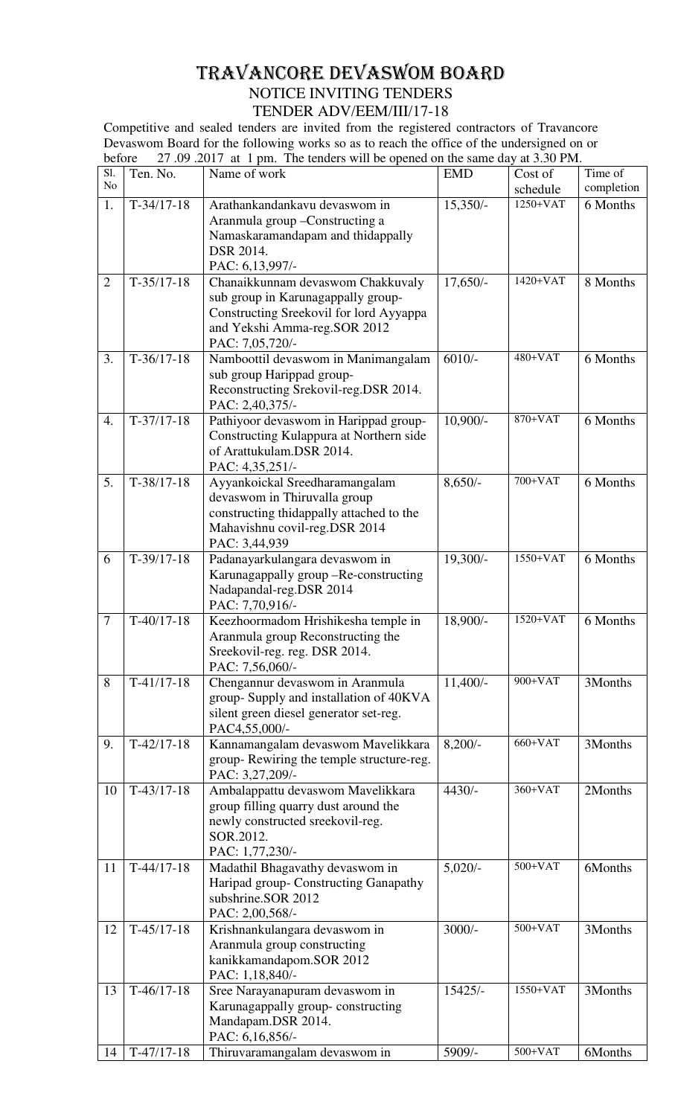## TRAVANCORE DEVASWOM BOARD NOTICE INVITING TENDERS TENDER ADV/EEM/III/17-18

Competitive and sealed tenders are invited from the registered contractors of Travancore Devaswom Board for the following works so as to reach the office of the undersigned on or before 27.09.2017 at 1 pm. The tenders will be opened on the same day at 3.30 PM. before 27 .09 .2017 at 1 pm. The tenders will be opened on the same day at 3.30 PM.

| Sl.<br>No      | Ten. No.     | Name of work                                                                                                                                                          | <b>EMD</b> | Cost of<br>schedule | Time of<br>completion |
|----------------|--------------|-----------------------------------------------------------------------------------------------------------------------------------------------------------------------|------------|---------------------|-----------------------|
| 1.             | $T-34/17-18$ | Arathankandankavu devaswom in<br>Aranmula group - Constructing a<br>Namaskaramandapam and thidappally<br>DSR 2014.<br>PAC: 6,13,997/-                                 | $15,350/-$ | $1250+VAT$          | 6 Months              |
| $\overline{2}$ | $T-35/17-18$ | Chanaikkunnam devaswom Chakkuvaly<br>sub group in Karunagappally group-<br>Constructing Sreekovil for lord Ayyappa<br>and Yekshi Amma-reg.SOR 2012<br>PAC: 7,05,720/- | $17,650/-$ | $1420+VAT$          | 8 Months              |
| 3.             | $T-36/17-18$ | Namboottil devaswom in Manimangalam<br>sub group Harippad group-<br>Reconstructing Srekovil-reg.DSR 2014.<br>PAC: 2,40,375/-                                          | $6010/-$   | $480+VAT$           | 6 Months              |
| 4.             | $T-37/17-18$ | Pathiyoor devaswom in Harippad group-<br>Constructing Kulappura at Northern side<br>of Arattukulam.DSR 2014.<br>PAC: 4,35,251/-                                       | $10,900/-$ | 870+VAT             | 6 Months              |
| 5.             | $T-38/17-18$ | Ayyankoickal Sreedharamangalam<br>devaswom in Thiruvalla group<br>constructing thidappally attached to the<br>Mahavishnu covil-reg.DSR 2014<br>PAC: 3,44,939          | $8,650/-$  | 700+VAT             | 6 Months              |
| 6              | $T-39/17-18$ | Padanayarkulangara devaswom in<br>Karunagappally group -Re-constructing<br>Nadapandal-reg.DSR 2014<br>PAC: 7,70,916/-                                                 | 19,300/-   | 1550+VAT            | 6 Months              |
| $\tau$         | $T-40/17-18$ | Keezhoormadom Hrishikesha temple in<br>Aranmula group Reconstructing the<br>Sreekovil-reg. reg. DSR 2014.<br>PAC: 7,56,060/-                                          | 18,900/-   | $1520+VAT$          | 6 Months              |
| 8              | $T-41/17-18$ | Chengannur devaswom in Aranmula<br>group-Supply and installation of 40KVA<br>silent green diesel generator set-reg.<br>PAC4,55,000/-                                  | $11,400/-$ | 900+VAT             | 3Months               |
| 9.             | $T-42/17-18$ | Kannamangalam devaswom Mavelikkara<br>group-Rewiring the temple structure-reg.<br>PAC: 3,27,209/-                                                                     | $8,200/-$  | $660+VAT$           | 3Months               |
| 10             | $T-43/17-18$ | Ambalappattu devaswom Mavelikkara<br>group filling quarry dust around the<br>newly constructed sreekovil-reg.<br>SOR.2012.<br>PAC: 1,77,230/-                         | $4430/-$   | $360+VAT$           | 2Months               |
| 11             | $T-44/17-18$ | Madathil Bhagavathy devaswom in<br>Haripad group- Constructing Ganapathy<br>subshrine.SOR 2012<br>PAC: 2,00,568/-                                                     | $5,020/-$  | $500+VAT$           | 6Months               |
| 12             | $T-45/17-18$ | Krishnankulangara devaswom in<br>Aranmula group constructing<br>kanikkamandapom.SOR 2012<br>PAC: 1,18,840/-                                                           | $3000/-$   | $500+VAT$           | 3Months               |
| 13             | $T-46/17-18$ | Sree Narayanapuram devaswom in<br>Karunagappally group-constructing<br>Mandapam.DSR 2014.<br>PAC: 6,16,856/-                                                          | $15425/-$  | 1550+VAT            | 3Months               |
| 14             | $T-47/17-18$ | Thiruvaramangalam devaswom in                                                                                                                                         | 5909/-     | $500+VAT$           | 6Months               |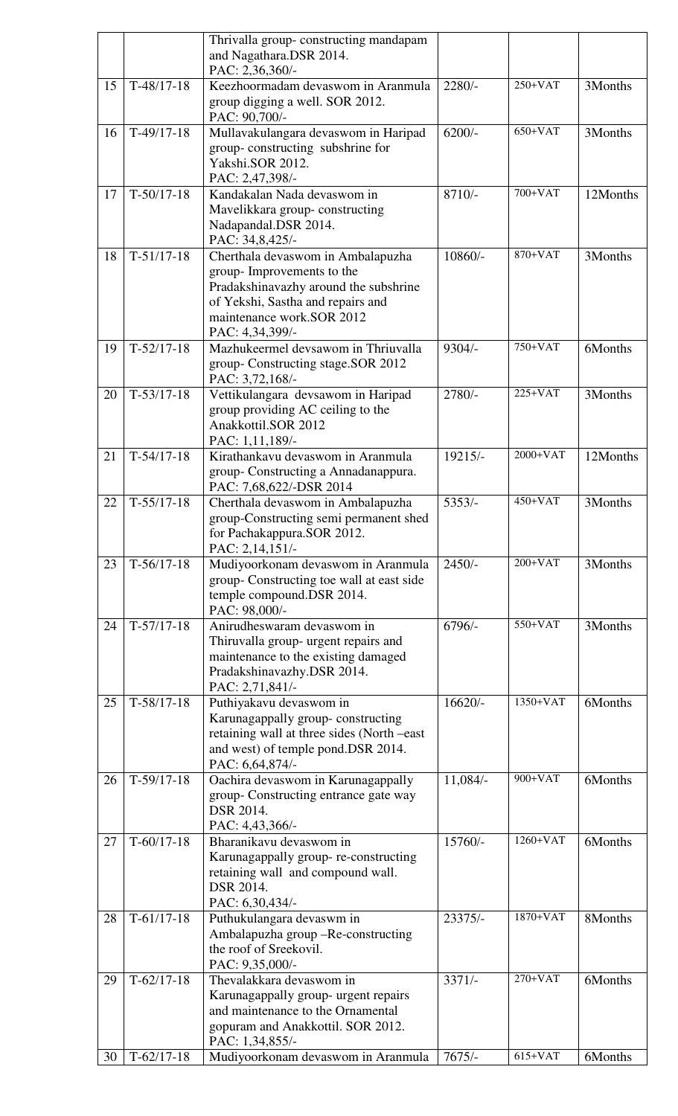|    |              | Thrivalla group-constructing mandapam<br>and Nagathara.DSR 2014.<br>PAC: 2,36,360/-                                                                                                           |           |             |          |
|----|--------------|-----------------------------------------------------------------------------------------------------------------------------------------------------------------------------------------------|-----------|-------------|----------|
| 15 | $T-48/17-18$ | Keezhoormadam devaswom in Aranmula<br>group digging a well. SOR 2012.<br>PAC: 90,700/-                                                                                                        | $2280/-$  | $250+VAT$   | 3Months  |
| 16 | $T-49/17-18$ | Mullavakulangara devaswom in Haripad<br>group-constructing subshrine for<br>Yakshi.SOR 2012.<br>PAC: 2,47,398/-                                                                               | $6200/-$  | $650+VAT$   | 3Months  |
| 17 | $T-50/17-18$ | Kandakalan Nada devaswom in<br>Mavelikkara group-constructing<br>Nadapandal.DSR 2014.<br>PAC: 34,8,425/-                                                                                      | $8710/-$  | 700+VAT     | 12Months |
| 18 | $T-51/17-18$ | Cherthala devaswom in Ambalapuzha<br>group- Improvements to the<br>Pradakshinavazhy around the subshrine<br>of Yekshi, Sastha and repairs and<br>maintenance work.SOR 2012<br>PAC: 4,34,399/- | $10860/-$ | 870+VAT     | 3Months  |
| 19 | $T-52/17-18$ | Mazhukeermel devsawom in Thriuvalla<br>group-Constructing stage.SOR 2012<br>PAC: 3,72,168/-                                                                                                   | $9304/-$  | $750+VAT$   | 6Months  |
| 20 | $T-53/17-18$ | Vettikulangara devsawom in Haripad<br>group providing AC ceiling to the<br>Anakkottil.SOR 2012<br>PAC: 1,11,189/-                                                                             | $2780/-$  | $225+VAT$   | 3Months  |
| 21 | $T-54/17-18$ | Kirathankavu devaswom in Aranmula<br>group-Constructing a Annadanappura.<br>PAC: 7,68,622/-DSR 2014                                                                                           | 19215/-   | $2000+VAT$  | 12Months |
| 22 | $T-55/17-18$ | Cherthala devaswom in Ambalapuzha<br>group-Constructing semi permanent shed<br>for Pachakappura.SOR 2012.<br>PAC: 2,14,151/-                                                                  | $5353/-$  | $450 + VAT$ | 3Months  |
| 23 | $T-56/17-18$ | Mudiyoorkonam devaswom in Aranmula<br>group- Constructing toe wall at east side<br>temple compound.DSR 2014.<br>PAC: 98,000/-                                                                 | $2450/-$  | $200+VAT$   | 3Months  |
| 24 | $T-57/17-18$ | Anirudheswaram devaswom in<br>Thiruvalla group- urgent repairs and<br>maintenance to the existing damaged<br>Pradakshinavazhy.DSR 2014.<br>PAC: 2,71,841/-                                    | $6796/-$  | 550+VAT     | 3Months  |
| 25 | $T-58/17-18$ | Puthiyakavu devaswom in<br>Karunagappally group-constructing<br>retaining wall at three sides (North -east<br>and west) of temple pond.DSR 2014.<br>PAC: 6,64,874/-                           | $16620/-$ | 1350+VAT    | 6Months  |
| 26 | $T-59/17-18$ | Oachira devaswom in Karunagappally<br>group-Constructing entrance gate way<br>DSR 2014.<br>PAC: 4,43,366/-                                                                                    | 11,084/-  | $900+VAT$   | 6Months  |
| 27 | $T-60/17-18$ | Bharanikavu devaswom in<br>Karunagappally group-re-constructing<br>retaining wall and compound wall.<br>DSR 2014.<br>PAC: 6,30,434/-                                                          | $15760/-$ | $1260+VAT$  | 6Months  |
| 28 | $T-61/17-18$ | Puthukulangara devaswm in<br>Ambalapuzha group -Re-constructing<br>the roof of Sreekovil.<br>PAC: 9,35,000/-                                                                                  | $23375/-$ | $1870+VAT$  | 8Months  |
| 29 | $T-62/17-18$ | Thevalakkara devaswom in<br>Karunagappally group- urgent repairs<br>and maintenance to the Ornamental<br>gopuram and Anakkottil. SOR 2012.<br>PAC: 1,34,855/-                                 | $3371/-$  | $270+VAT$   | 6Months  |
| 30 | $T-62/17-18$ | Mudiyoorkonam devaswom in Aranmula                                                                                                                                                            | $7675/-$  | $615+VAT$   | 6Months  |